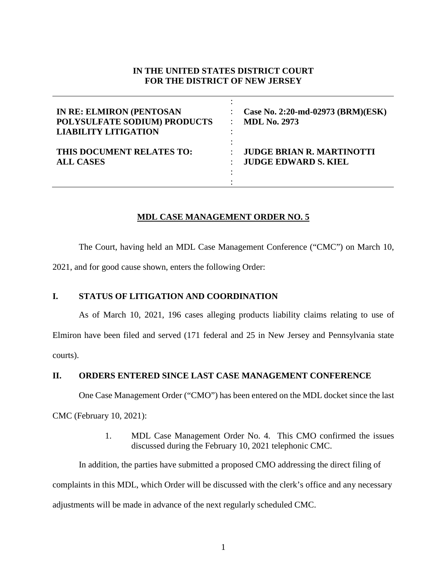# **IN THE UNITED STATES DISTRICT COURT FOR THE DISTRICT OF NEW JERSEY**

| <b>IN RE: ELMIRON (PENTOSAN</b><br>POLYSULFATE SODIUM) PRODUCTS<br><b>LIABILITY LITIGATION</b> | Case No. 2:20-md-02973 (BRM)(ESK)<br><b>MDL No. 2973</b> |
|------------------------------------------------------------------------------------------------|----------------------------------------------------------|
| THIS DOCUMENT RELATES TO:                                                                      | <b>JUDGE BRIAN R. MARTINOTTI</b>                         |
| <b>ALL CASES</b>                                                                               | <b>JUDGE EDWARD S. KIEL</b>                              |

## **MDL CASE MANAGEMENT ORDER NO. 5**

The Court, having held an MDL Case Management Conference ("CMC") on March 10, 2021, and for good cause shown, enters the following Order:

### **I. STATUS OF LITIGATION AND COORDINATION**

As of March 10, 2021, 196 cases alleging products liability claims relating to use of Elmiron have been filed and served (171 federal and 25 in New Jersey and Pennsylvania state courts).

**II. ORDERS ENTERED SINCE LAST CASE MANAGEMENT CONFERENCE**

One Case Management Order ("CMO") has been entered on the MDL docket since the last

CMC (February 10, 2021):

1. MDL Case Management Order No. 4. This CMO confirmed the issues discussed during the February 10, 2021 telephonic CMC.

In addition, the parties have submitted a proposed CMO addressing the direct filing of complaints in this MDL, which Order will be discussed with the clerk's office and any necessary adjustments will be made in advance of the next regularly scheduled CMC.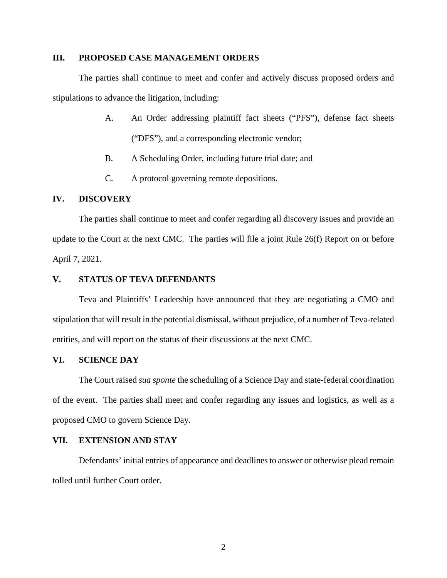#### **III. PROPOSED CASE MANAGEMENT ORDERS**

The parties shall continue to meet and confer and actively discuss proposed orders and stipulations to advance the litigation, including:

- A. An Order addressing plaintiff fact sheets ("PFS"), defense fact sheets ("DFS"), and a corresponding electronic vendor;
- B. A Scheduling Order, including future trial date; and
- C. A protocol governing remote depositions.

## **IV. DISCOVERY**

The parties shall continue to meet and confer regarding all discovery issues and provide an update to the Court at the next CMC. The parties will file a joint Rule 26(f) Report on or before April 7, 2021.

#### **V. STATUS OF TEVA DEFENDANTS**

Teva and Plaintiffs' Leadership have announced that they are negotiating a CMO and stipulation that will result in the potential dismissal, without prejudice, of a number of Teva-related entities, and will report on the status of their discussions at the next CMC.

### **VI. SCIENCE DAY**

The Court raised *sua sponte* the scheduling of a Science Day and state-federal coordination of the event. The parties shall meet and confer regarding any issues and logistics, as well as a proposed CMO to govern Science Day.

#### **VII. EXTENSION AND STAY**

Defendants' initial entries of appearance and deadlines to answer or otherwise plead remain tolled until further Court order.